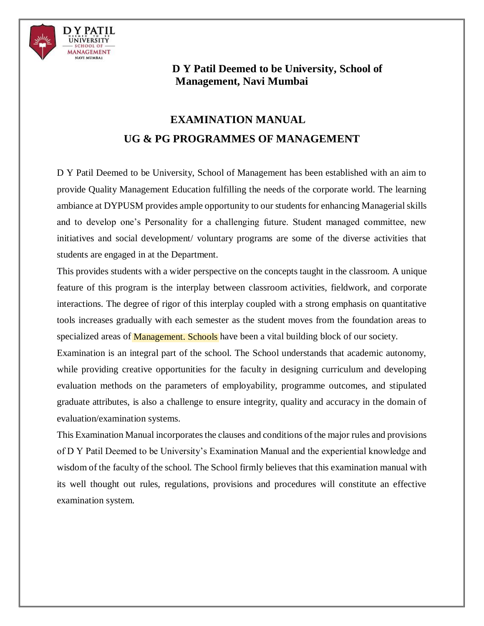

## **D Y Patil Deemed to be University, School of Management, Navi Mumbai**

# **EXAMINATION MANUALUG & PG PROGRAMMES OF MANAGEMENT**

D Y Patil Deemed to be University, School of Management has been established with an aim to provide Quality Management Education fulfilling the needs of the corporate world. The learning ambiance at DYPUSM provides ample opportunity to our students for enhancing Managerial skills and to develop one's Personality for a challenging future. Student managed committee, new initiatives and social development/ voluntary programs are some of the diverse activities that students are engaged in at the Department.

specialized areas of **Management. Schools** have been a vital building block of our society. This provides students with a wider perspective on the concepts taught in the classroom. A unique feature of this program is the interplay between classroom activities, fieldwork, and corporate interactions. The degree of rigor of this interplay coupled with a strong emphasis on quantitative tools increases gradually with each semester as the student moves from the foundation areas to

Examination is an integral part of the school. The School understands that academic autonomy, while providing creative opportunities for the faculty in designing curriculum and developing evaluation methods on the parameters of employability, programme outcomes, and stipulated graduate attributes, is also a challenge to ensure integrity, quality and accuracy in the domain of evaluation/examination systems.

This Examination Manual incorporates the clauses and conditions of the major rules and provisions of D Y Patil Deemed to be University's Examination Manual and the experiential knowledge and wisdom of the faculty of the school. The School firmly believes that this examination manual with its well thought out rules, regulations, provisions and procedures will constitute an effective examination system.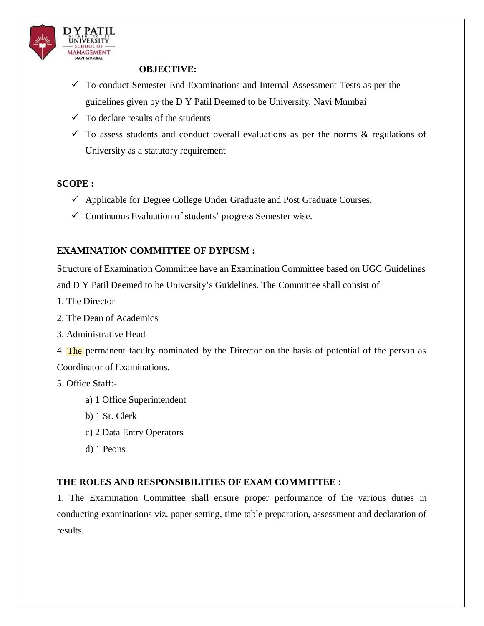

## **OBJECTIVE:**

- $\checkmark$  To conduct Semester End Examinations and Internal Assessment Tests as per the guidelines given by the D Y Patil Deemed to be University, Navi Mumbai
- $\checkmark$  To declare results of the students
- $\checkmark$  To assess students and conduct overall evaluations as per the norms  $\&$  regulations of University as a statutory requirement

## **SCOPE :**

- $\checkmark$  Applicable for Degree College Under Graduate and Post Graduate Courses.
- $\checkmark$  Continuous Evaluation of students' progress Semester wise.

## **EXAMINATION COMMITTEE OF DYPUSM :**

Structure of Examination Committee have an Examination Committee based on UGC Guidelines and D Y Patil Deemed to be University's Guidelines. The Committee shall consist of

- 1. The Director
- 2. The Dean of Academics
- 3. Administrative Head
- 4. The permanent faculty nominated by the Director on the basis of potential of the person as Coordinator of Examinations.

## 5. Office Staff:-

- a) 1 Office Superintendent
- b) 1 Sr. Clerk
- c) 2 Data Entry Operators
- d) 1 Peons

## **THE ROLES AND RESPONSIBILITIES OF EXAM COMMITTEE :**

1. The Examination Committee shall ensure proper performance of the various duties in conducting examinations viz. paper setting, time table preparation, assessment and declaration of results.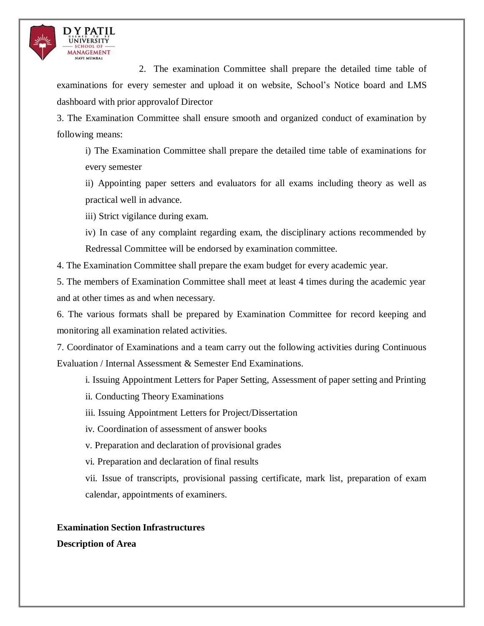

2. The examination Committee shall prepare the detailed time table of examinations for every semester and upload it on website, School's Notice board and LMS dashboard with prior approvalof Director

3. The Examination Committee shall ensure smooth and organized conduct of examination by following means:

i) The Examination Committee shall prepare the detailed time table of examinations for every semester

ii) Appointing paper setters and evaluators for all exams including theory as well as practical well in advance.

iii) Strict vigilance during exam.

iv) In case of any complaint regarding exam, the disciplinary actions recommended by Redressal Committee will be endorsed by examination committee.

4. The Examination Committee shall prepare the exam budget for every academic year.

5. The members of Examination Committee shall meet at least 4 times during the academic year and at other times as and when necessary.

6. The various formats shall be prepared by Examination Committee for record keeping and monitoring all examination related activities.

7. Coordinator of Examinations and a team carry out the following activities during Continuous Evaluation / Internal Assessment & Semester End Examinations.

i. Issuing Appointment Letters for Paper Setting, Assessment of paper setting and Printing

- ii. Conducting Theory Examinations
- iii. Issuing Appointment Letters for Project/Dissertation
- iv. Coordination of assessment of answer books
- v. Preparation and declaration of provisional grades
- vi. Preparation and declaration of final results

vii. Issue of transcripts, provisional passing certificate, mark list, preparation of exam calendar, appointments of examiners.

## **Examination Section Infrastructures**

**Description of Area**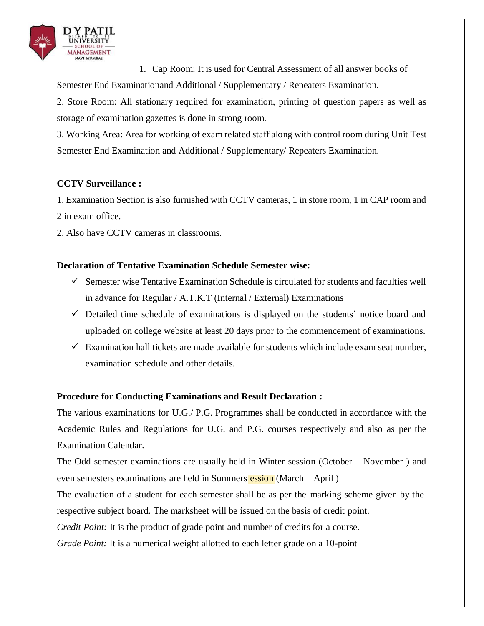

1. Cap Room: It is used for Central Assessment of all answer books of Semester End Examinationand Additional / Supplementary / Repeaters Examination.

2. Store Room: All stationary required for examination, printing of question papers as well as storage of examination gazettes is done in strong room.

3. Working Area: Area for working of exam related staff along with control room during Unit Test Semester End Examination and Additional / Supplementary/ Repeaters Examination.

## **CCTV Surveillance :**

1. Examination Section is also furnished with CCTV cameras, 1 in store room, 1 in CAP room and 2 in exam office.

2. Also have CCTV cameras in classrooms.

## **Declaration of Tentative Examination Schedule Semester wise:**

- $\checkmark$  Semester wise Tentative Examination Schedule is circulated for students and faculties well in advance for Regular / A.T.K.T (Internal / External) Examinations
- $\checkmark$  Detailed time schedule of examinations is displayed on the students' notice board and uploaded on college website at least 20 days prior to the commencement of examinations.
- $\checkmark$  Examination hall tickets are made available for students which include exam seat number, examination schedule and other details.

## **Procedure for Conducting Examinations and Result Declaration :**

The various examinations for U.G./ P.G. Programmes shall be conducted in accordance with the Academic Rules and Regulations for U.G. and P.G. courses respectively and also as per the Examination Calendar.

even semesters examinations are held in Summers *ession* (March – April ) The Odd semester examinations are usually held in Winter session (October – November ) and

The evaluation of a student for each semester shall be as per the marking scheme given by the respective subject board. The marksheet will be issued on the basis of credit point.

*Credit Point:* It is the product of grade point and number of credits for a course.

*Grade Point:* It is a numerical weight allotted to each letter grade on a 10-point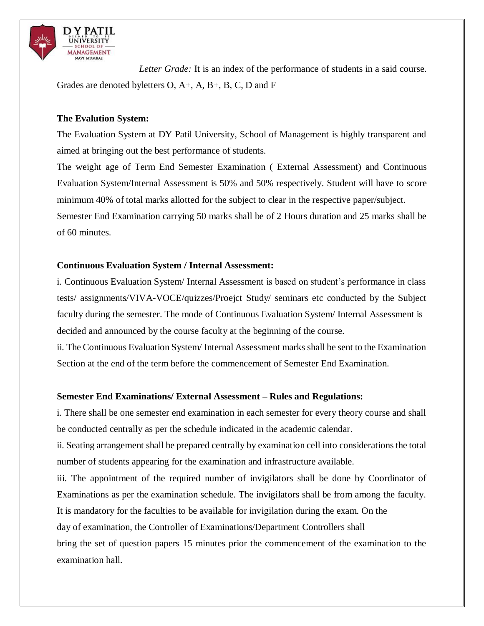

*Letter Grade:* It is an index of the performance of students in a said course. Grades are denoted byletters O, A+, A, B+, B, C, D and F

## **The Evalution System:**

The Evaluation System at DY Patil University, School of Management is highly transparent and aimed at bringing out the best performance of students.

The weight age of Term End Semester Examination ( External Assessment) and Continuous Evaluation System/Internal Assessment is 50% and 50% respectively. Student will have to score minimum 40% of total marks allotted for the subject to clear in the respective paper/subject. Semester End Examination carrying 50 marks shall be of 2 Hours duration and 25 marks shall be of 60 minutes.

## **Continuous Evaluation System / Internal Assessment:**

i. Continuous Evaluation System/ Internal Assessment is based on student's performance in class tests/ assignments/VIVA-VOCE/quizzes/Proejct Study/ seminars etc conducted by the Subject faculty during the semester. The mode of Continuous Evaluation System/ Internal Assessment is decided and announced by the course faculty at the beginning of the course.

ii. The Continuous Evaluation System/ Internal Assessment marks shall be sent to the Examination Section at the end of the term before the commencement of Semester End Examination.

#### **Semester End Examinations/ External Assessment – Rules and Regulations:**

i. There shall be one semester end examination in each semester for every theory course and shall be conducted centrally as per the schedule indicated in the academic calendar.

ii. Seating arrangement shall be prepared centrally by examination cell into considerations the total number of students appearing for the examination and infrastructure available.

iii. The appointment of the required number of invigilators shall be done by Coordinator of Examinations as per the examination schedule. The invigilators shall be from among the faculty. It is mandatory for the faculties to be available for invigilation during the exam. On the day of examination, the Controller of Examinations/Department Controllers shall bring the set of question papers 15 minutes prior the commencement of the examination to the examination hall.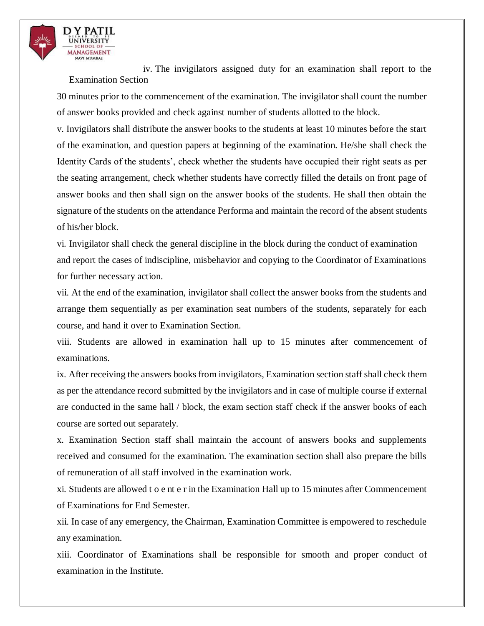

iv. The invigilators assigned duty for an examination shall report to the Examination Section

30 minutes prior to the commencement of the examination. The invigilator shall count the number of answer books provided and check against number of students allotted to the block.

v. Invigilators shall distribute the answer books to the students at least 10 minutes before the start of the examination, and question papers at beginning of the examination. He/she shall check the Identity Cards of the students', check whether the students have occupied their right seats as per the seating arrangement, check whether students have correctly filled the details on front page of answer books and then shall sign on the answer books of the students. He shall then obtain the signature of the students on the attendance Performa and maintain the record of the absent students of his/her block.

vi. Invigilator shall check the general discipline in the block during the conduct of examination and report the cases of indiscipline, misbehavior and copying to the Coordinator of Examinations for further necessary action.

vii. At the end of the examination, invigilator shall collect the answer books from the students and arrange them sequentially as per examination seat numbers of the students, separately for each course, and hand it over to Examination Section.

viii. Students are allowed in examination hall up to 15 minutes after commencement of examinations.

ix. After receiving the answers books from invigilators, Examination section staff shall check them as per the attendance record submitted by the invigilators and in case of multiple course if external are conducted in the same hall / block, the exam section staff check if the answer books of each course are sorted out separately.

x. Examination Section staff shall maintain the account of answers books and supplements received and consumed for the examination. The examination section shall also prepare the bills of remuneration of all staff involved in the examination work.

xi. Students are allowed t o e nt e r in the Examination Hall up to 15 minutes after Commencement of Examinations for End Semester.

xii. In case of any emergency, the Chairman, Examination Committee is empowered to reschedule any examination.

xiii. Coordinator of Examinations shall be responsible for smooth and proper conduct of examination in the Institute.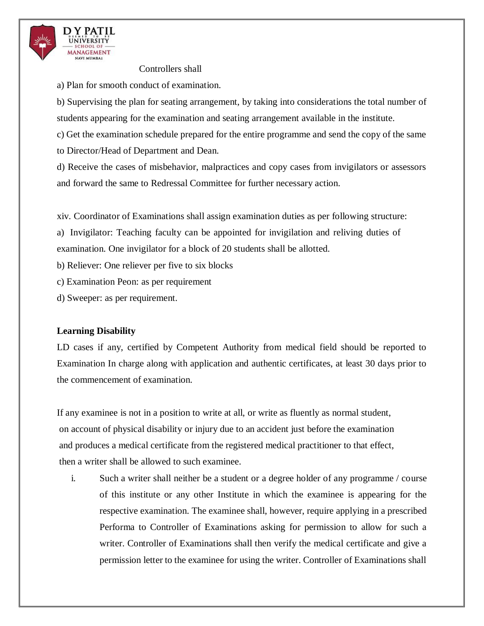

Controllers shall

a) Plan for smooth conduct of examination.

b) Supervising the plan for seating arrangement, by taking into considerations the total number of students appearing for the examination and seating arrangement available in the institute.

c) Get the examination schedule prepared for the entire programme and send the copy of the same to Director/Head of Department and Dean.

d) Receive the cases of misbehavior, malpractices and copy cases from invigilators or assessors and forward the same to Redressal Committee for further necessary action.

xiv. Coordinator of Examinations shall assign examination duties as per following structure:

a) Invigilator: Teaching faculty can be appointed for invigilation and reliving duties of examination. One invigilator for a block of 20 students shall be allotted.

b) Reliever: One reliever per five to six blocks

c) Examination Peon: as per requirement

d) Sweeper: as per requirement.

## **Learning Disability**

LD cases if any, certified by Competent Authority from medical field should be reported to Examination In charge along with application and authentic certificates, at least 30 days prior to the commencement of examination.

If any examinee is not in a position to write at all, or write as fluently as normal student, on account of physical disability or injury due to an accident just before the examination and produces a medical certificate from the registered medical practitioner to that effect, then a writer shall be allowed to such examinee.

i. Such a writer shall neither be a student or a degree holder of any programme / course of this institute or any other Institute in which the examinee is appearing for the respective examination. The examinee shall, however, require applying in a prescribed Performa to Controller of Examinations asking for permission to allow for such a writer. Controller of Examinations shall then verify the medical certificate and give a permission letter to the examinee for using the writer. Controller of Examinations shall